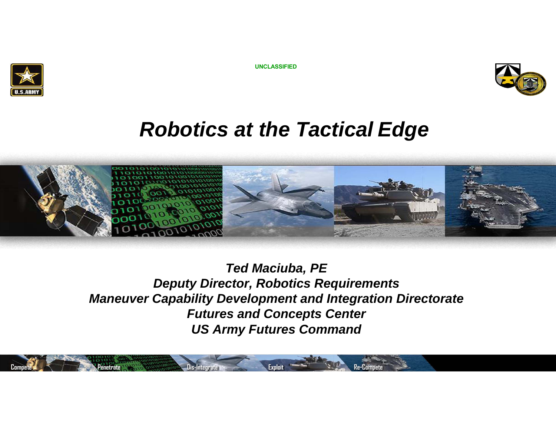

**UNCLASSIFIED**



## *Robotics at the Tactical Edge*



*Ted Maciuba, PE Deputy Director, Robotics Requirements Maneuver Capability Development and Integration Directorate Futures and Concepts Center US Army Futures Command*

**Compete Algebrary Penetrate Penetrate <b>Penetrate Penetrate Benedict Penetrate Penetrate** *Re-Compete*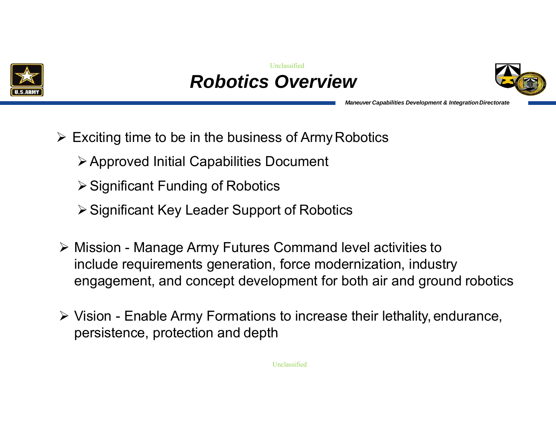





*Maneuver Capabilities Development & IntegrationDirectorate*

- $\triangleright$  Exciting time to be in the business of Army Robotics
	- Approved Initial Capabilities Document
	- $\triangleright$  Significant Funding of Robotics
	- **≻ Significant Key Leader Support of Robotics**
- Mission Manage Army Futures Command level activities to include requirements generation, force modernization, industry engagement, and concept development for both air and ground robotics
- Vision Enable Army Formations to increase their lethality, endurance, persistence, protection and depth

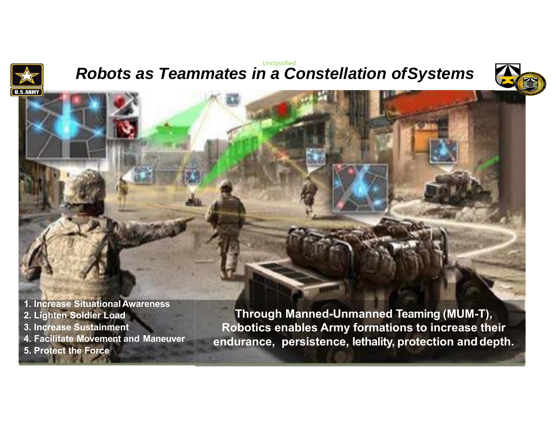

#### *Robots as Teammates in a Constellation ofSystems* Unclassified





**Through Manned-Unmanned Teaming (MUM-T), Robotics enables Army formations to increase their endurance, persistence, lethality, protection and depth.**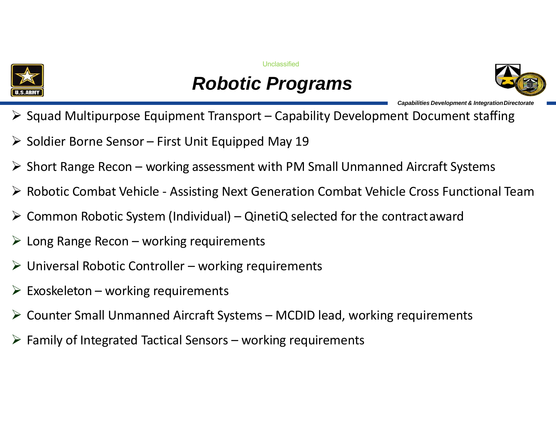

**Unclassified** 

## *Robotic Programs*



*Capabilities Development & IntegrationDirectorate*

- $\triangleright$  Squad Multipurpose Equipment Transport Capability Development Document staffing
- $\triangleright$  Soldier Borne Sensor First Unit Equipped May 19
- $\triangleright$  Short Range Recon working assessment with PM Small Unmanned Aircraft Systems
- Robotic Combat Vehicle ‐ Assisting Next Generation Combat Vehicle Cross Functional Team
- ➤ Common Robotic System (Individual) – QinetiQ selected for the contractaward
- $\triangleright$  Long Range Recon working requirements
- $\triangleright$  Universal Robotic Controller working requirements
- $\triangleright$  Exoskeleton working requirements
- Counter Small Unmanned Aircraft Systems MCDID lead, working requirements
- $\triangleright$  Family of Integrated Tactical Sensors working requirements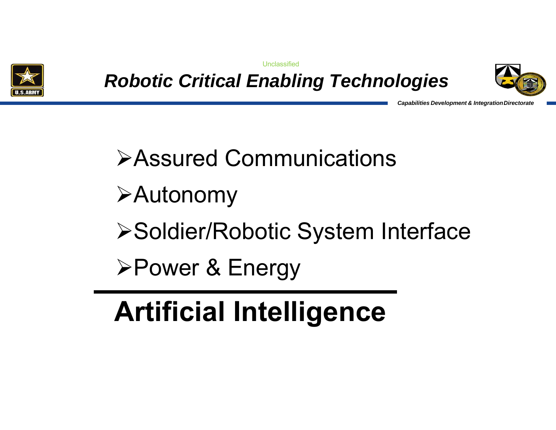

**Unclassified** 

*Robotic Critical Enabling Technologies*



*Capabilities Development & IntegrationDirectorate*

# Assured Communications

Autonomy

**≻Soldier/Robotic System Interface** 

**≻Power & Energy** 

# **Artificial Intelligence**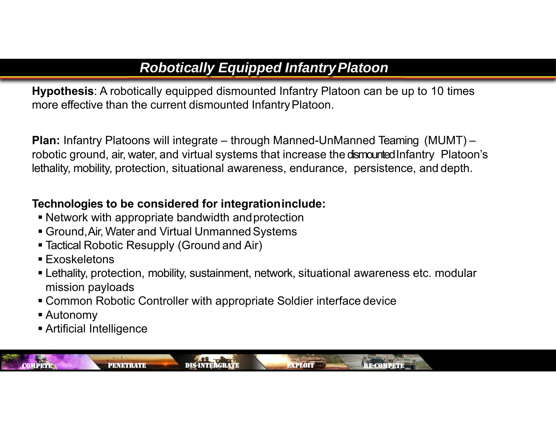## *Robotically Equipped InfantryPlatoon*

**Hypothesis**: A robotically equipped dismounted Infantry Platoon can be up to 10 times more effective than the current dismounted Infantry Platoon.

**Plan:** Infantry Platoons will integrate – through Manned-UnManned Teaming (MUMT) – robotic ground, air, water, and virtual systems that increase the dismounted Infantry Platoon's lethality, mobility, protection, situational awareness, endurance, persistence, and depth.

### **Technologies to be considered for integrationinclude:**

- Network with appropriate bandwidth andprotection
- Ground,Air, Water and Virtual Unmanned Systems
- Tactical Robotic Resupply (Ground and Air)
- Exoskeletons
- Lethality, protection, mobility, sustainment, network, situational awareness etc. modular mission payloads
- Common Robotic Controller with appropriate Soldier interface device
- Autonomy
- Artificial Intelligence

COMPETEPENETRATE DIS-INTERGRATE EXPLOIT RE-COMPETE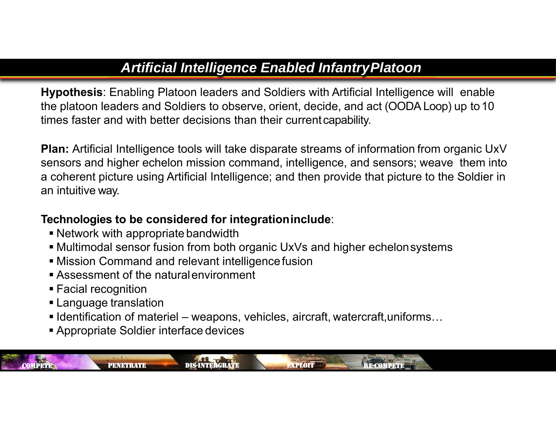## *Artificial Intelligence Enabled InfantryPlatoon*

**Hypothesis**: Enabling Platoon leaders and Soldiers with Artificial Intelligence will enable the platoon leaders and Soldiers to observe, orient, decide, and act (OODA Loop) up to10 times faster and with better decisions than their currentcapability.

**Plan:** Artificial Intelligence tools will take disparate streams of information from organic UxV sensors and higher echelon mission command, intelligence, and sensors; weave them into a coherent picture using Artificial Intelligence; and then provide that picture to the Soldier in an intuitive way.

#### **Technologies to be considered for integrationinclude**:

- Network with appropriate bandwidth
- Multimodal sensor fusion from both organic UxVs and higher echelonsystems
- Mission Command and relevant intelligencefusion
- Assessment of the naturalenvironment
- Facial recognition

COMPETE

- Language translation
- $\blacksquare$  Identification of materiel weapons, vehicles, aircraft, watercraft,uniforms…

PENETRATE DIS-INTERGRATE EXPLOIT RE-COMPETE

Appropriate Soldier interface devices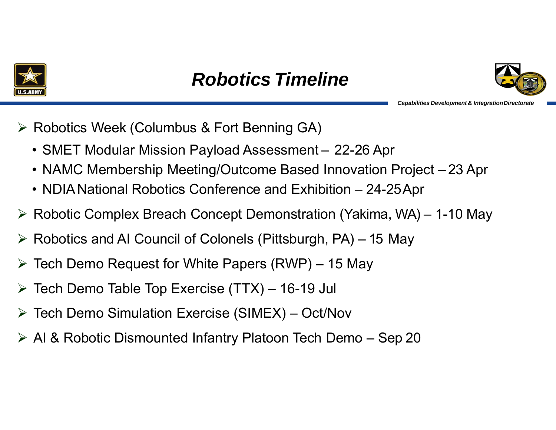





*Capabilities Development & IntegrationDirectorate*

**≻ Robotics Week (Columbus & Fort Benning GA)** 

- SMET Modular Mission Payload Assessment 22-26 Apr
- NAMC Membership Meeting/Outcome Based Innovation Project 23 Apr
- $\bullet\,$  NDIA National Robotics Conference and Exhibition 24-25Apr
- Robotic Complex Breach Concept Demonstration (Yakima, WA) 1-10 May
- Robotics and AI Council of Colonels (Pittsburgh, PA) 15 May
- $\triangleright$  Tech Demo Request for White Papers (RWP) 15 May
- Tech Demo Table Top Exercise (TTX) 16-19 Jul
- $\blacktriangleright$ Tech Demo Simulation Exercise (SIMEX) – Oct/Nov
- AI & Robotic Dismounted Infantry Platoon Tech Demo Sep 20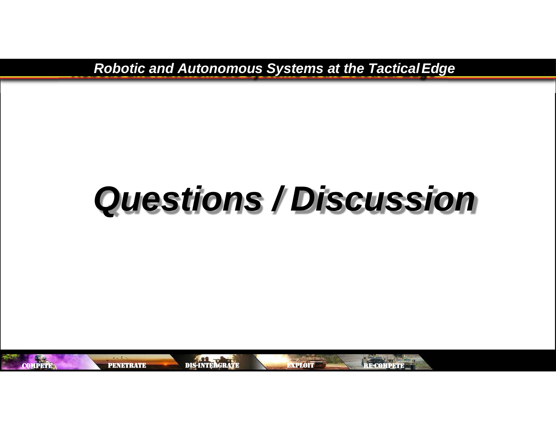*Robotic and Autonomous Systems at the TacticalEdge*

# *Questions / Discussion*